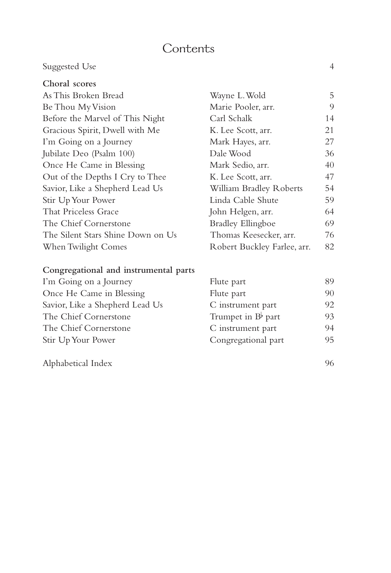### **Contents**

### Suggested Use 4

| Choral scores                     |                             |    |
|-----------------------------------|-----------------------------|----|
| As This Broken Bread              | Wayne L. Wold               | 5  |
| Be Thou My Vision                 | Marie Pooler, arr.          | 9  |
| Before the Marvel of This Night   | Carl Schalk                 | 14 |
| Gracious Spirit, Dwell with Me    | K. Lee Scott, arr.          | 21 |
| I'm Going on a Journey            | Mark Hayes, arr.            | 27 |
| Jubilate Deo (Psalm 100)          | Dale Wood                   | 36 |
| Once He Came in Blessing          | Mark Sedio, arr.            | 40 |
| Out of the Depths I Cry to Thee   | K. Lee Scott, arr.          | 47 |
| Savior, Like a Shepherd Lead Us   | William Bradley Roberts     | 54 |
| Stir Up Your Power                | Linda Cable Shute           | 59 |
| That Priceless Grace              | John Helgen, arr.           | 64 |
| The Chief Cornerstone             | <b>Bradley Ellingboe</b>    | 69 |
| The Silent Stars Shine Down on Us | Thomas Keesecker, arr.      | 76 |
| When Twilight Comes               | Robert Buckley Farlee, arr. | 82 |
|                                   |                             |    |

#### **Congregational and instrumental parts**

| I'm Going on a Journey          | Flute part                  | 89 |
|---------------------------------|-----------------------------|----|
| Once He Came in Blessing        | Flute part                  | 90 |
| Savior, Like a Shepherd Lead Us | C instrument part           | 92 |
| The Chief Cornerstone           | Trumpet in $B^{\flat}$ part | 93 |
| The Chief Cornerstone           | C instrument part           | 94 |
| Stir Up Your Power              | Congregational part         | 95 |
|                                 |                             |    |

Alphabetical Index 96

| ς ματι                   |       |
|--------------------------|-------|
| e part                   | 90    |
| strument part            | 92    |
| npet in $B^{\flat}$ part | 93    |
| strument part            | $Q_2$ |
| gregational part         | 95    |
|                          |       |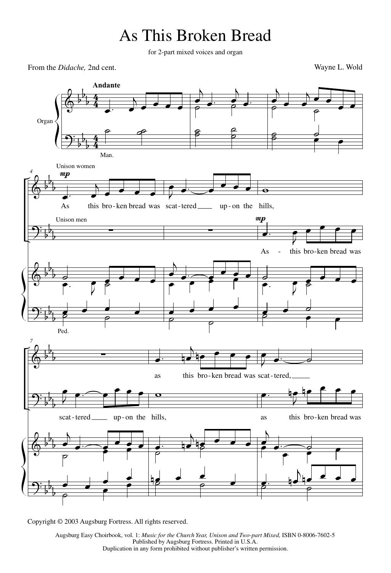# As This Broken Bread

for 2-part mixed voices and organ

From the *Didache*, 2nd cent. Wayne L. Wold



Copyright © 2003 Augsburg Fortress. All rights reserved.

Augsburg Easy Choirbook, vol. 1: *Music for the Church Year, Unison and Two-part Mixed*, ISBN 0-8006-7602-5 Published by Augsburg Fortress. Printed in U.S.A. Duplication in any form prohibited without publisher's written permission.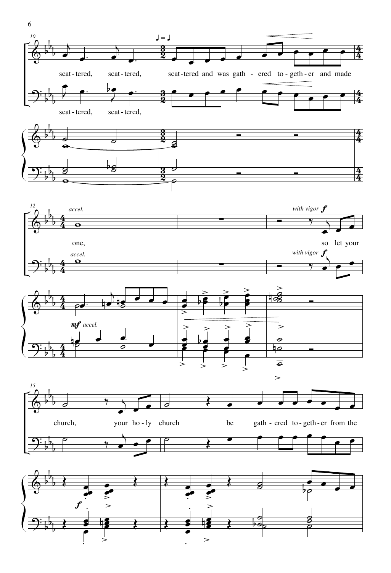

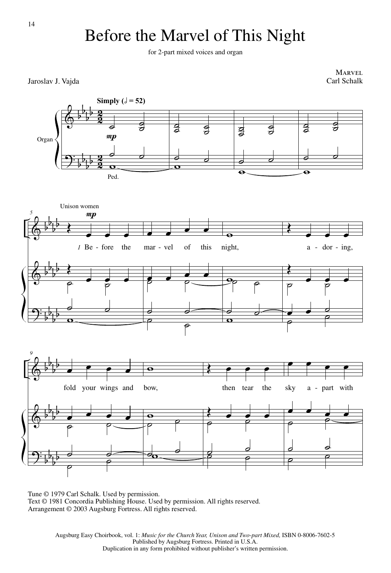# Before the Marvel of This Night

for 2-part mixed voices and organ

**MARVEL**<br>Carl Schalk



Tune © 1979 Carl Schalk. Used by permission. Text © 1981 Concordia Publishing House. Used by permission. All rights reserved. Arrangement © 2003 Augsburg Fortress. All rights reserved.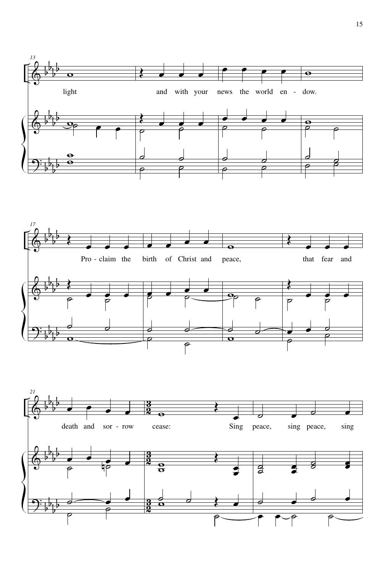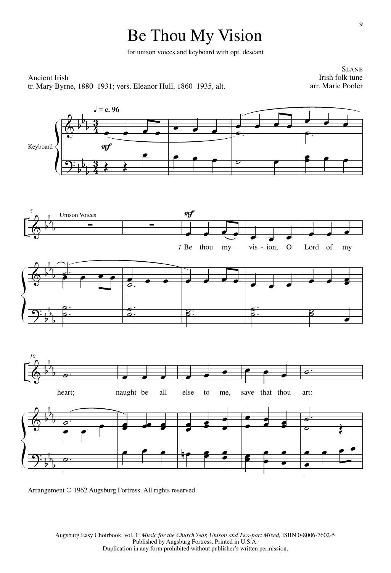# Be Thou My Vision

for unison voices and keyboard with opt. descant

#### Ancient Irish tr. Mary Byrne, 1880–1931; vers. Eleanor Hull, 1860–1935, alt.

**SLANE** Irish folk tune arr. Marie Pooler



Arrangement © 1962 Augsburg Fortress. All rights reserved.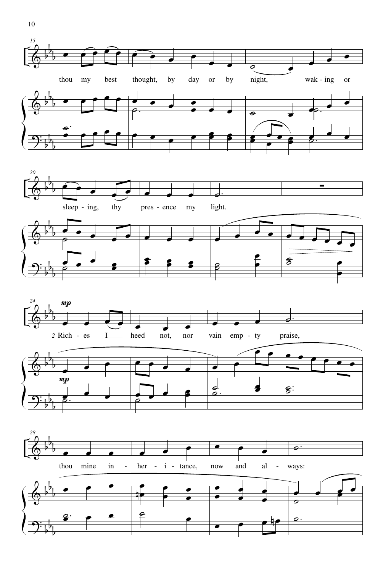





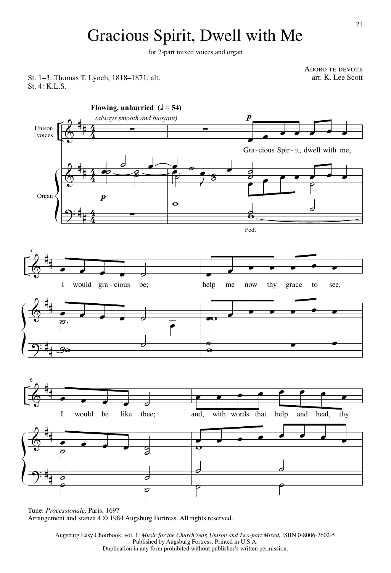# Gracious Spirit, Dwell with Me

for 2-part mixed voices and organ

St. 1-3: Thomas T. Lynch, 1818-1871, alt. St. 4: K.L.S.



Tune: *Processionale,* Paris, 1697 Arrangement and stanza 4 © 1984 Augsburg Fortress. All rights reserved.

> Augsburg Easy Choirbook, vol. 1: *Music for the Church Year, Unison and Two-part Mixed*, ISBN 0-8006-7602-5 Published by Augsburg Fortress. Printed in U.S.A. Duplication in any form prohibited without publisher's written permission.

ADORO TE DEVOTE<br>arr. K. Lee Scott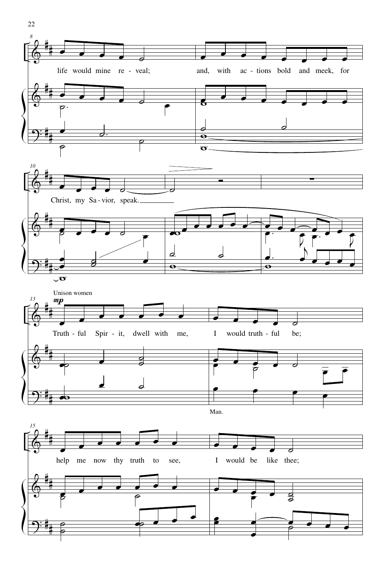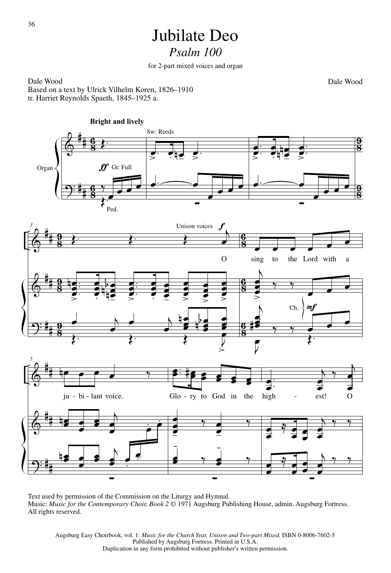### Jubilate Deo *Psalm 100*

for 2-part mixed voices and organ

Dale Wood Dale Wood Based on a text by Ulrick Vilhelm Koren, 1826–1910 tr. Harriet Reynolds Spaeth, 1845–1925 a.

 $\pmb{\phi}$  $\Theta$ # # # #  $\frac{6}{8}$  $\overline{c}$  $\frac{6}{8}$  $\overline{c}$  $\frac{9}{8}$  $\overline{\mathbf{a}}$ <u>ទូ</u>  $\overline{\mathbf{a}}$ Organ **Bright and lively**  $\overline{\mathbf{r}}$ E œ  $\Box$ 7<br>≯. Sw: Reeds  $\frac{1}{\epsilon}$ . œ  $\overline{\phantom{a}}$  i.e  $\frac{1}{\epsilon}$ Gt: Full Ped.  $\overline{\phantom{a}}$  $\Box$ ∑ .  $\frac{1}{2}$ . œ  $\bullet$ œ œ . œ œ n<br>F  $\frac{1}{\sqrt{2}}$  $\frac{1}{2}$ . œ  $\bullet$  $\overline{\phantom{a}}$  $\Box$ ∑  $\pmb{\phi}$  $\pmb{\phi}$  $\Theta$ # # # # # #  $\frac{9}{8}$  $\overline{\mathbf{a}}$ <u>ទូ</u>  $\overline{\mathbf{a}}$ <u>ទូ</u>  $\overline{\mathbf{a}}$  $\frac{6}{8}$ <u>።</u> <u>6</u> <u>።</u> <u>6</u> <u>።</u> *3*  $\lambda$  . Thus the contract of  $\lambda$  . Unison voices œ O . . .  $\frac{1}{2}$ œ e<br>L n  $\bullet$ œ œ œ .<br>. . . .<br>. . . . œ œ l<br>h l<br>h )<br>F **-**<br>-. . .  $\frac{1}{2}$ œ œ  $\bullet$ œ œ œ .  $\blacksquare$ œ œ <u>-</u>  $\overline{\phantom{a}}$ œ œ  $\bullet$ ∎<br>⊾ œ œ  $\bullet$ œ œ œ  $\bullet$  $\overline{a}$  $\overline{\phantom{a}}$  $\frac{1}{2}$  $\overline{\phantom{a}}$  $\overline{a}$ œœ  $h \bullet h$ œœ l<br>h n  $\overline{a}$ œœ <mark>ॣ</mark><br>दूः दूः दूः द e<br>=  $\frac{1}{2}$ <sup>œ</sup> <sup>œ</sup> <sup>œ</sup> <sup>œ</sup> <sup>œ</sup> <sup>œ</sup> to the Lord with a sing  $\overline{\phantom{a}}$ œ œ  $\bullet$  $\frac{1}{2}$ Ch.  $\langle m \rangle$ <sup>œ</sup> <sup>œ</sup> <sup>œ</sup> j  $\overline{a}$  $\begin{array}{c|c|c|c|c|c} \hline \text{...} & \text{...} & \text{...} \\ \hline \text{...} & \text{...} & \text{...} \\ \hline \end{array}$  $\overline{5}$  $\frac{1}{\sqrt{2}}$  $\Phi$  $\pmb{\phi}$  $\Theta$ # # # # # # *5*  $P$  e  $P$  e  $\frac{Q}{P}$ ju - bi - lant voice. œœn œ œ  $\overline{\bullet}$  $\overline{\phantom{a}}$ œ  $\overline{\mathbf{e}}$ œ  $\overline{L}$  $\overrightarrow{P}$ . œ .  $\overline{\cdot}$  $\frac{1}{1}$ ∑  $rac{2}{\frac{4}{5}}$ Glo - ry to God in the  $\overline{a}$ œ œ - <sup>E</sup> <sup>œ</sup> œ - P<br>- P œœ <sup>E</sup> -  $\frac{1}{2}$  y ∑ .  $\overline{\phantom{0}}$ œ j œ œ  $\overline{a}$  $\frac{1}{2}$ L<br>■ high - est! O œ œ  $\frac{y}{y}$ œ œ œ j œ œ  $\frac{1}{2}$  $\overline{\phantom{a}}$ œ  $\frac{y}{y}$  . œ  $\overline{a}$ œ j  $\overline{\phantom{a}}$ œ  $\mathbf{e}_t$ ∑

Text used by permission of the Commission on the Liturgy and Hymnal. Music: *Music for the Contemporary Choir, Book 2* © 1971 Augsburg Publishing House, admin. Augsburg Fortress. All rights reserved.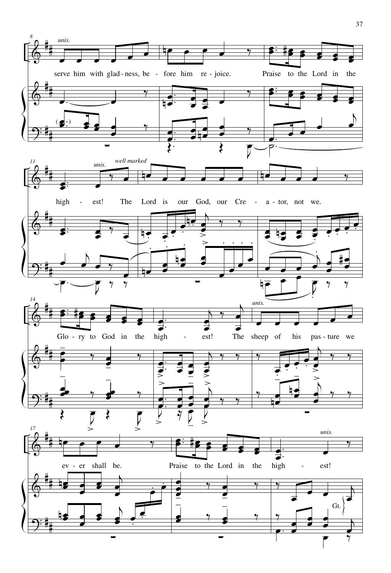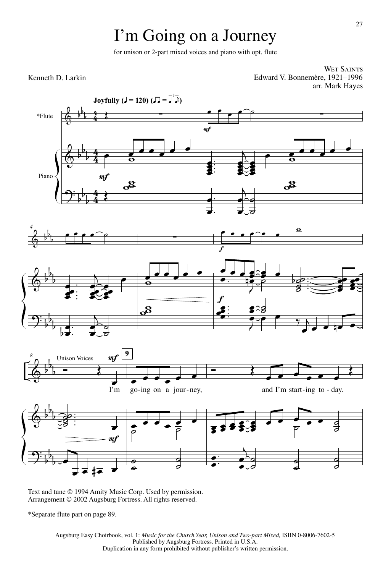# I'm Going on a Journey

for unison or 2-part mixed voices and piano with opt. flute

#### Kenneth D. Larkin

WET SAINTS Edward V. Bonnemère, 1921–1996 arr. Mark Hayes



Text and tune © 1994 Amity Music Corp. Used by permission. Arrangement © 2002 Augsburg Fortress. All rights reserved.

\*Separate flute part on page 89.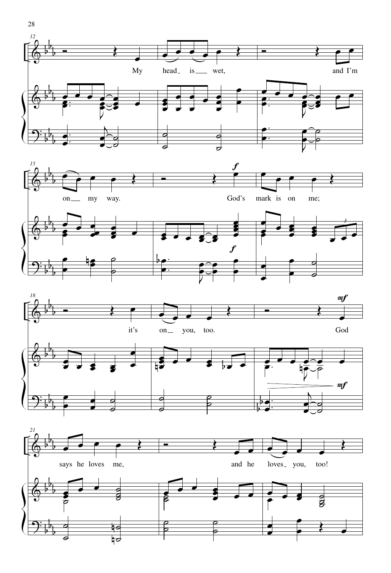







28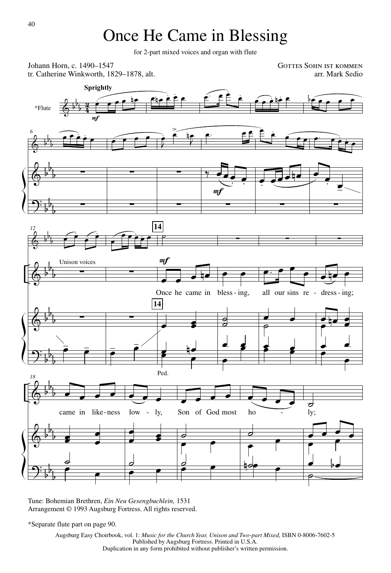## Once He Came in Blessing

for 2-part mixed voices and organ with flute



Tune: Bohemian Brethren, *Ein Neu Gesengbuchlein,* 1531 Arrangement © 1993 Augsburg Fortress. All rights reserved.

\*Separate flute part on page 90.

Augsburg Easy Choirbook, vol. 1: *Music for the Church Year, Unison and Two-part Mixed*, ISBN 0-8006-7602-5 Published by Augsburg Fortress. Printed in U.S.A. Duplication in any form prohibited without publisher's written permission.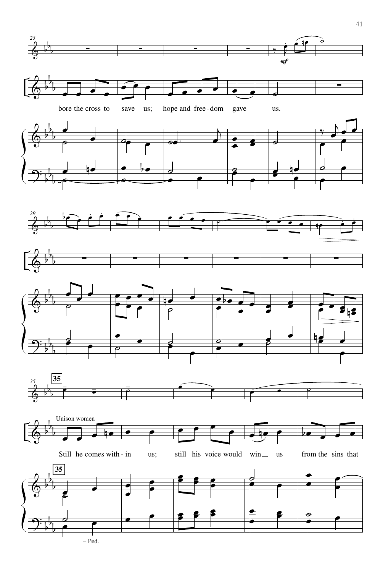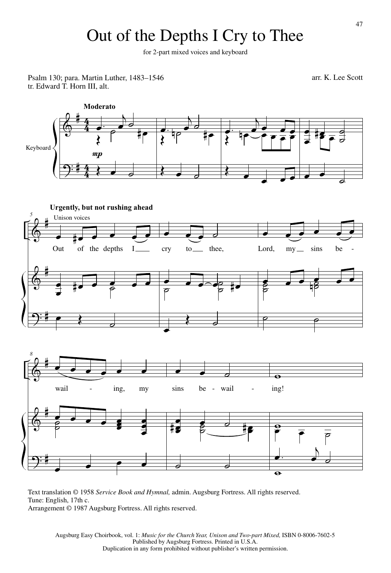# Out of the Depths I Cry to Thee

for 2-part mixed voices and keyboard

Psalm 130; para. Martin Luther, 1483-1546 arr. K. Lee Scott arr. K. Lee Scott tr. Edward T. Horn III, alt.



Text translation © 1958 *Service Book and Hymnal,* admin. Augsburg Fortress. All rights reserved. Tune: English, 17th c. Arrangement © 1987 Augsburg Fortress. All rights reserved.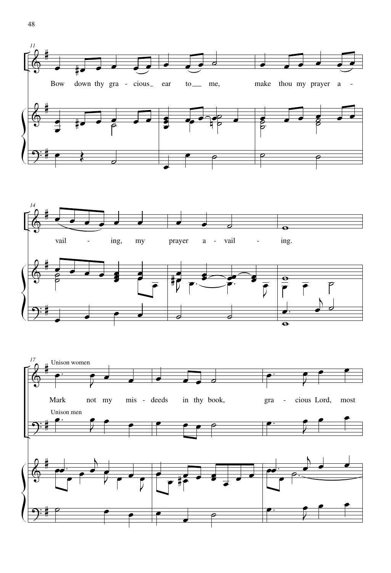

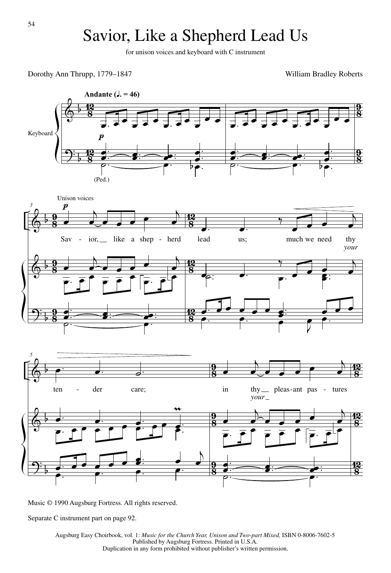## Savior, Like a Shepherd Lead Us

for unison voices and keyboard with C instrument

Dorothy Ann Thrupp, 1779–1847

William Bradley Roberts



Music © 1990 Augsburg Fortress. All rights reserved.

Separate C instrument part on page 92.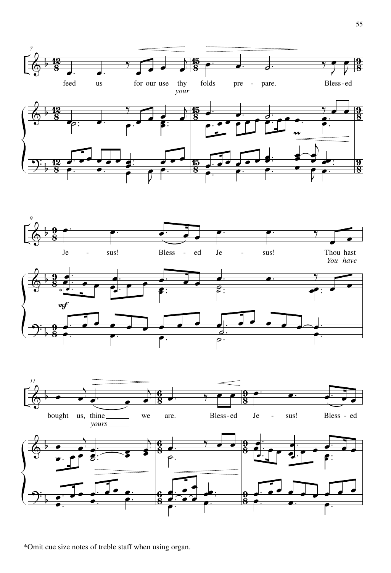





\*Omit cue size notes of treble staff when using organ.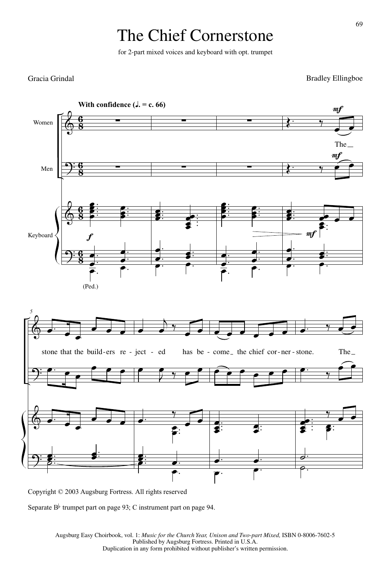# The Chief Cornerstone

for 2-part mixed voices and keyboard with opt. trumpet

#### Gracia Grindal

**Bradley Ellingboe** 



Copyright  $\oslash$  2003 Augsburg Fortress. All rights reserved

Separate  $B^{\flat}$  trumpet part on page 93; C instrument part on page 94.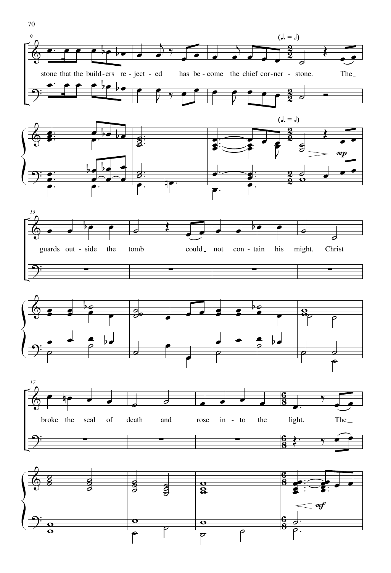

 $\overline{\bullet}$ 

 $\overline{\mathbf{o}}$ 

 $\overline{\mathsf{P}}$ 

 $\overline{\mathbf{o}}$  $\overline{\mathbf{o}}$ 

70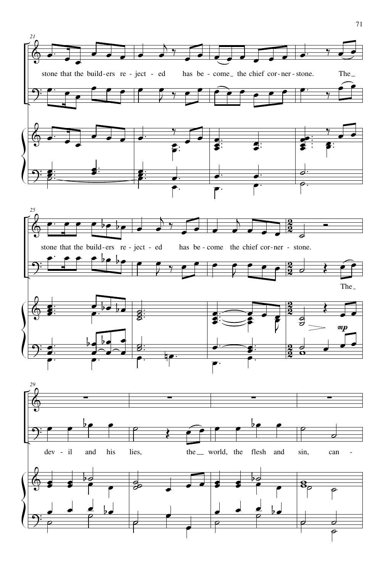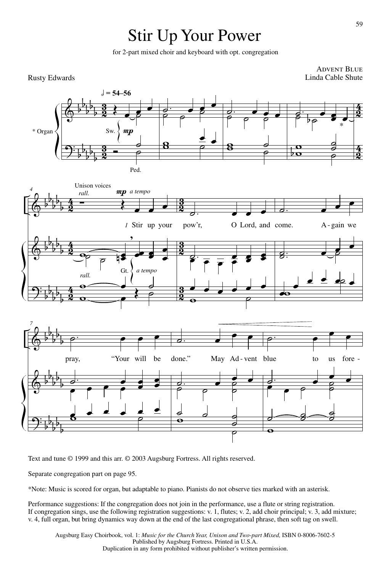# Stir Up Your Power

for 2-part mixed choir and keyboard with opt. congregation

**ADVENT BLUE**<br>Linda Cable Shute



Text and tune © 1999 and this arr. © 2003 Augsburg Fortress. All rights reserved.

Separate congregation part on page 95.

\*Note: Music is scored for organ, but adaptable to piano. Pianists do not observe ties marked with an asterisk.

Performance suggestions: If the congregation does not join in the performance, use a flute or string registration. If congregation sings, use the following registration suggestions: v. 1, flutes; v. 2, add choir principal; v. 3, add mixture; v. 4, full organ, but bring dynamics way down at the end of the last congregational phrase, then soft tag on swell.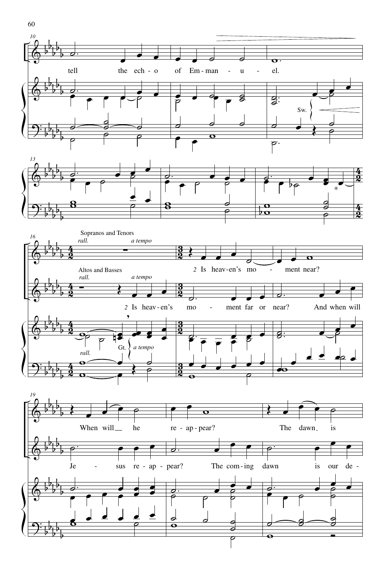

60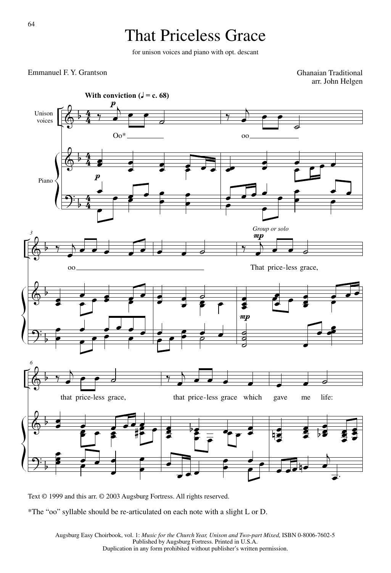# That Priceless Grace

for unison voices and piano with opt. descant

#### Emmanuel F. Y. Grantson

Ghanaian Traditional arr. John Helgen



Text © 1999 and this arr. © 2003 Augsburg Fortress. All rights reserved.

\*The "oo" syllable should be re-articulated on each note with a slight L or D.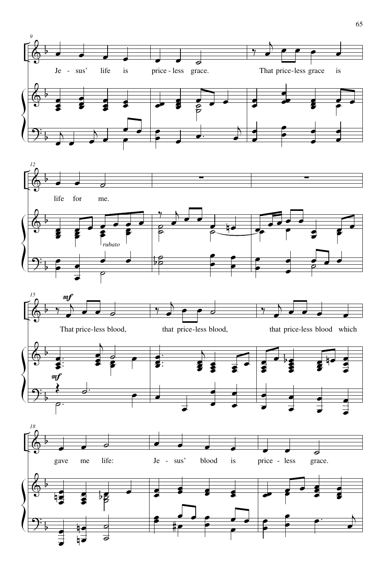





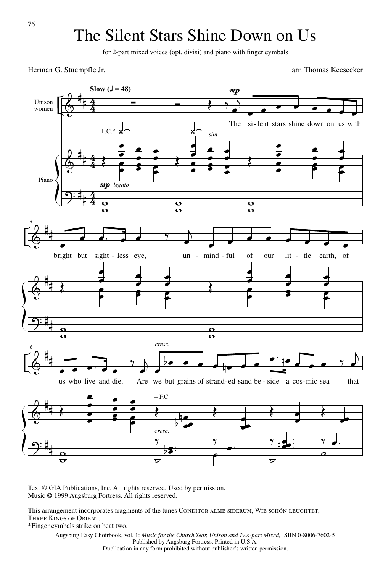## The Silent Stars Shine Down on Us

for 2-part mixed voices (opt. divisi) and piano with finger cymbals

Herman G. Stuempfle Jr.

arr. Thomas Keesecker



Text © GIA Publications, Inc. All rights reserved. Used by permission. Music © 1999 Augsburg Fortress. All rights reserved.

This arrangement incorporates fragments of the tunes CONDITOR ALME SIDERUM, WIE SCHÖN LEUCHTET, Three Kings of Orient.

\*Finger cymbals strike on beat two.

Augsburg Easy Choirbook, vol. 1: *Music for the Church Year, Unison and Two-part Mixed*, ISBN 0-8006-7602-5 Published by Augsburg Fortress. Printed in U.S.A.

Duplication in any form prohibited without publisher's written permission.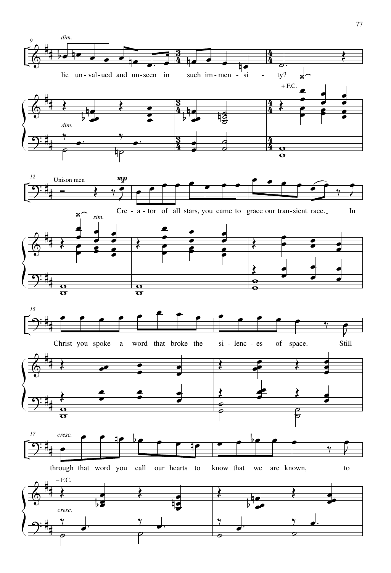





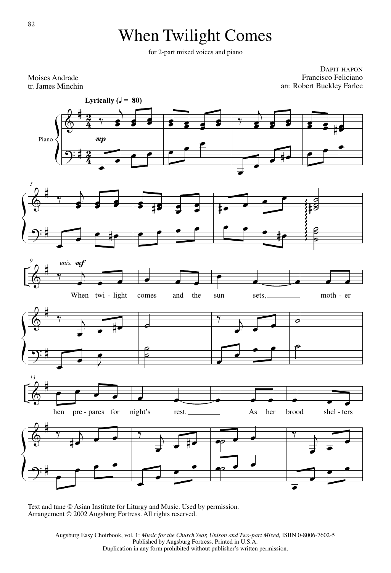# When Twilight Comes

for 2-part mixed voices and piano

DAPIT HAPON Francisco Feliciano arr. Robert Buckley Farlee



Text and tune © Asian Institute for Liturgy and Music. Used by permission. Arrangement © 2002 Augsburg Fortress. All rights reserved.

Moises Andrade tr. James Minchin